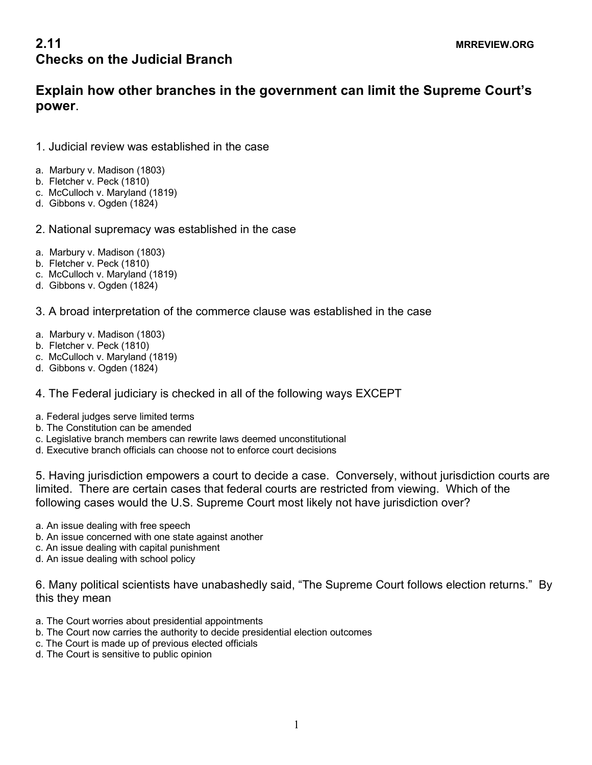## **2.11** MRREVIEW.ORG **Checks on the Judicial Branch**

## **Explain how other branches in the government can limit the Supreme Court's power**.

- 1. Judicial review was established in the case
- a. Marbury v. Madison (1803)
- b. Fletcher v. Peck (1810)
- c. McCulloch v. Maryland (1819)
- d. Gibbons v. Ogden (1824)
- 2. National supremacy was established in the case
- a. Marbury v. Madison (1803)
- b. Fletcher v. Peck (1810)
- c. McCulloch v. Maryland (1819)
- d. Gibbons v. Ogden (1824)
- 3. A broad interpretation of the commerce clause was established in the case
- a. Marbury v. Madison (1803)
- b. Fletcher v. Peck (1810)
- c. McCulloch v. Maryland (1819)
- d. Gibbons v. Ogden (1824)
- 4. The Federal judiciary is checked in all of the following ways EXCEPT
- a. Federal judges serve limited terms
- b. The Constitution can be amended
- c. Legislative branch members can rewrite laws deemed unconstitutional
- d. Executive branch officials can choose not to enforce court decisions

5. Having jurisdiction empowers a court to decide a case. Conversely, without jurisdiction courts are limited. There are certain cases that federal courts are restricted from viewing. Which of the following cases would the U.S. Supreme Court most likely not have jurisdiction over?

- a. An issue dealing with free speech
- b. An issue concerned with one state against another
- c. An issue dealing with capital punishment
- d. An issue dealing with school policy

6. Many political scientists have unabashedly said, "The Supreme Court follows election returns." By this they mean

- a. The Court worries about presidential appointments
- b. The Court now carries the authority to decide presidential election outcomes
- c. The Court is made up of previous elected officials
- d. The Court is sensitive to public opinion